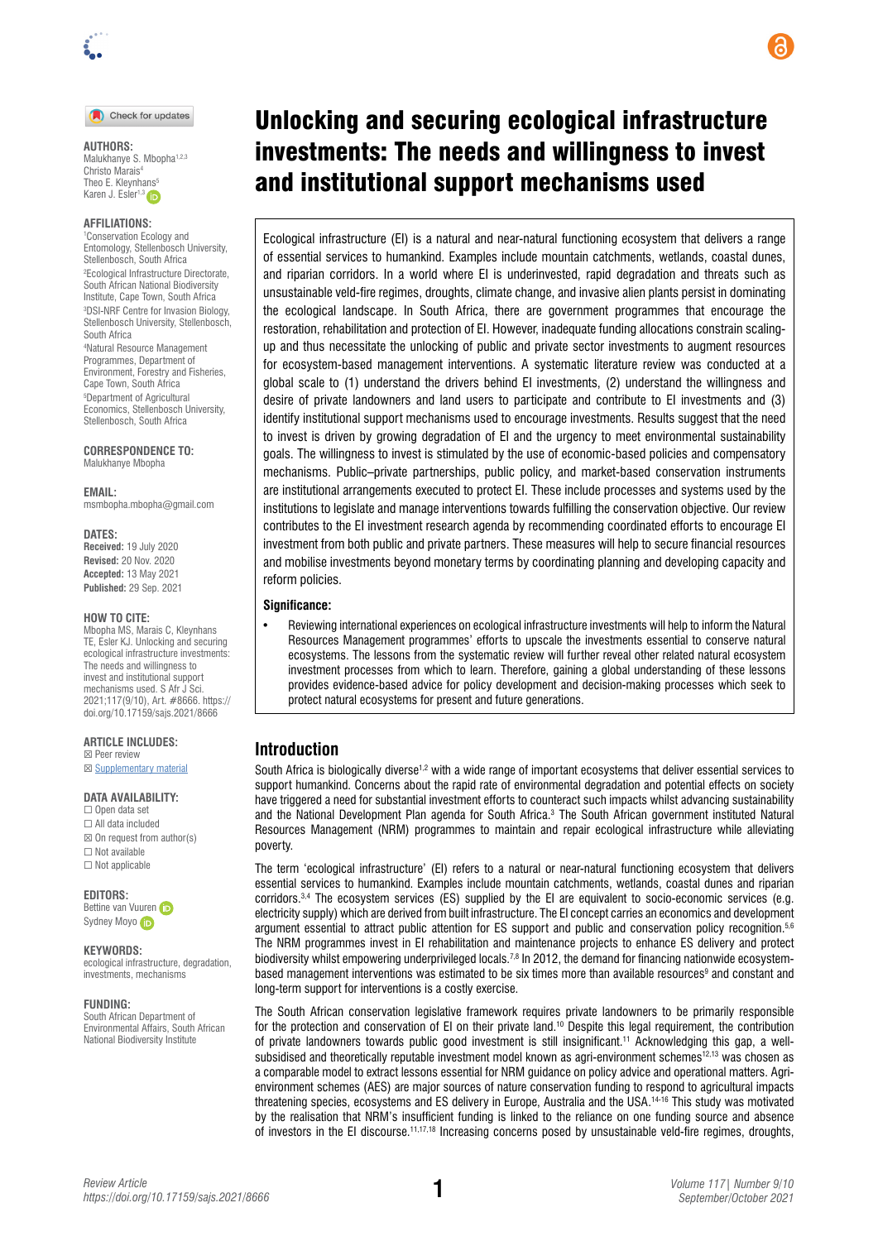

#### Check for updates

**AUTHORS:**  Malukhanye S. Mbopha<sup>1,2,3</sup> Christo Marais4 Theo E. Kleynhans Karen J. Esler<sup>1,3</sup>

#### **AFFILIATIONS:**

1 Conservation Ecology and Entomology, Stellenbosch University, Stellenbosch, South Africa 2 Ecological Infrastructure Directorate, South African National Biodiversity Institute, Cape Town, South Africa 3 DSI-NRF Centre for Invasion Biology, Stellenbosch University, Stellenbosch, South Africa

4 Natural Resource Management Programmes, Department of Environment, Forestry and Fisheries, Cape Town, South Africa 5 Department of Agricultural Economics, Stellenbosch University, Stellenbosch, South Africa

**CORRESPONDENCE TO:**  Malukhanye Mbopha

**EMAIL:** 

[msmbopha.mbopha@gmail.com](mailto:msmbopha.mbopha@gmail.com)

#### **DATES:**

**Received:** 19 July 2020 **Revised:** 20 Nov. 2020 **Accepted:** 13 May 2021 **Published:** 29 Sep. 2021

#### **HOW TO CITE:**

Mbopha MS, Marais C, Kleynhans TE, Esler KJ. Unlocking and securing ecological infrastructure investments: The needs and willingness to invest and institutional support mechanisms used. S Afr J Sci. 2021;117(9/10), Art. #8666. [https://](https://doi.org/10.17159/sajs.2021/8666) [doi.org/10.17159/sajs.2021/8666](https://doi.org/10.17159/sajs.2021/8666)

#### **ARTICLE INCLUDES:**

☒ Peer review **⊠ [Supplementary material](https://doi.org/10.17159/sajs.2021/8666/suppl)** 

#### **DATA AVAILABILITY:**

☐ Open data set ☐ All data included  $\boxtimes$  On request from author(s) ☐ Not available ☐ Not applicable

**EDITORS:** 

Bettine va[n](https://orcid.org/0000-0002-5334-5358) Vuuren (ip Sydney Moy[o](https://orcid.org/0000-0002-9286-6578) (iD

#### **KEYWORDS:**

ecological infrastructure, degradation, investments, mechanisms

#### **FUNDING:**

South African Department of Environmental Affairs, South African National Biodiversity Institute

# Unlocking and securing ecological infrastructure investments: The needs and willingness to invest and institutional support mechanisms used

Ecological infrastructure (EI) is a natural and near-natural functioning ecosystem that delivers a range of essential services to humankind. Examples include mountain catchments, wetlands, coastal dunes, and riparian corridors. In a world where EI is underinvested, rapid degradation and threats such as unsustainable veld-fire regimes, droughts, climate change, and invasive alien plants persist in dominating the ecological landscape. In South Africa, there are government programmes that encourage the restoration, rehabilitation and protection of EI. However, inadequate funding allocations constrain scalingup and thus necessitate the unlocking of public and private sector investments to augment resources for ecosystem-based management interventions. A systematic literature review was conducted at a global scale to (1) understand the drivers behind EI investments, (2) understand the willingness and desire of private landowners and land users to participate and contribute to EI investments and (3) identify institutional support mechanisms used to encourage investments. Results suggest that the need to invest is driven by growing degradation of EI and the urgency to meet environmental sustainability goals. The willingness to invest is stimulated by the use of economic-based policies and compensatory mechanisms. Public–private partnerships, public policy, and market-based conservation instruments are institutional arrangements executed to protect EI. These include processes and systems used by the institutions to legislate and manage interventions towards fulfilling the conservation objective. Our review contributes to the EI investment research agenda by recommending coordinated efforts to encourage EI investment from both public and private partners. These measures will help to secure financial resources and mobilise investments beyond monetary terms by coordinating planning and developing capacity and reform policies.

### **Significance:**

• Reviewing international experiences on ecological infrastructure investments will help to inform the Natural Resources Management programmes' efforts to upscale the investments essential to conserve natural ecosystems. The lessons from the systematic review will further reveal other related natural ecosystem investment processes from which to learn. Therefore, gaining a global understanding of these lessons provides evidence-based advice for policy development and decision-making processes which seek to protect natural ecosystems for present and future generations.

## **Introduction**

South Africa is biologically diverse<sup>1,2</sup> with a wide range of important ecosystems that deliver essential services to support humankind. Concerns about the rapid rate of environmental degradation and potential effects on society have triggered a need for substantial investment efforts to counteract such impacts whilst advancing sustainability and the National Development Plan agenda for South Africa.3 The South African government instituted Natural Resources Management (NRM) programmes to maintain and repair ecological infrastructure while alleviating poverty.

The term 'ecological infrastructure' (EI) refers to a natural or near-natural functioning ecosystem that delivers essential services to humankind. Examples include mountain catchments, wetlands, coastal dunes and riparian corridors.3,4 The ecosystem services (ES) supplied by the EI are equivalent to socio-economic services (e.g. electricity supply) which are derived from built infrastructure. The EI concept carries an economics and development argument essential to attract public attention for ES support and public and conservation policy recognition.<sup>5,6</sup> The NRM programmes invest in EI rehabilitation and maintenance projects to enhance ES delivery and protect biodiversity whilst empowering underprivileged locals.<sup>7,8</sup> In 2012, the demand for financing nationwide ecosystembased management interventions was estimated to be six times more than available resources<sup>9</sup> and constant and long-term support for interventions is a costly exercise.

The South African conservation legislative framework requires private landowners to be primarily responsible for the protection and conservation of EI on their private land.<sup>10</sup> Despite this legal requirement, the contribution of private landowners towards public good investment is still insignificant.11 Acknowledging this gap, a wellsubsidised and theoretically reputable investment model known as agri-environment schemes<sup>12,13</sup> was chosen as a comparable model to extract lessons essential for NRM guidance on policy advice and operational matters. Agrienvironment schemes (AES) are major sources of nature conservation funding to respond to agricultural impacts threatening species, ecosystems and ES delivery in Europe, Australia and the USA.14-16 This study was motivated by the realisation that NRM's insufficient funding is linked to the reliance on one funding source and absence of investors in the EI discourse.<sup>11,17,18</sup> Increasing concerns posed by unsustainable veld-fire regimes, droughts,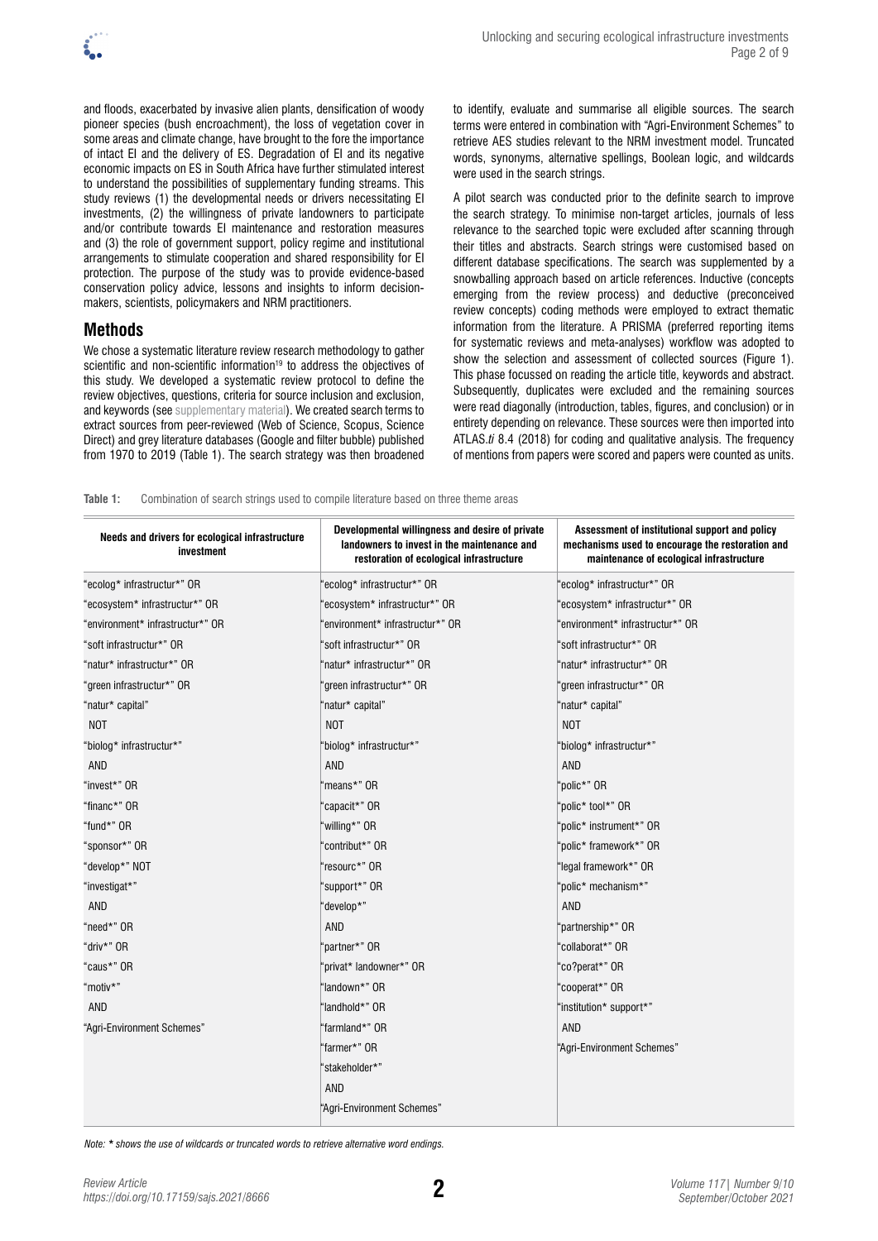

and floods, exacerbated by invasive alien plants, densification of woody pioneer species (bush encroachment), the loss of vegetation cover in some areas and climate change, have brought to the fore the importance of intact EI and the delivery of ES. Degradation of EI and its negative economic impacts on ES in South Africa have further stimulated interest to understand the possibilities of supplementary funding streams. This study reviews (1) the developmental needs or drivers necessitating EI investments, (2) the willingness of private landowners to participate and/or contribute towards EI maintenance and restoration measures and (3) the role of government support, policy regime and institutional arrangements to stimulate cooperation and shared responsibility for EI protection. The purpose of the study was to provide evidence-based conservation policy advice, lessons and insights to inform decisionmakers, scientists, policymakers and NRM practitioners.

# **Methods**

We chose a systematic literature review research methodology to gather scientific and non-scientific information<sup>19</sup> to address the objectives of this study. We developed a systematic review protocol to define the review objectives, questions, criteria for source inclusion and exclusion, and keywords (see [supplementary material\)](https://doi.org/10.17159/sajs.2021/8666/suppl). We created search terms to extract sources from peer-reviewed (Web of Science, Scopus, Science Direct) and grey literature databases (Google and filter bubble) published from 1970 to 2019 (Table 1). The search strategy was then broadened to identify, evaluate and summarise all eligible sources. The search terms were entered in combination with "Agri-Environment Schemes" to retrieve AES studies relevant to the NRM investment model. Truncated words, synonyms, alternative spellings, Boolean logic, and wildcards were used in the search strings.

A pilot search was conducted prior to the definite search to improve the search strategy. To minimise non-target articles, journals of less relevance to the searched topic were excluded after scanning through their titles and abstracts. Search strings were customised based on different database specifications. The search was supplemented by a snowballing approach based on article references. Inductive (concepts emerging from the review process) and deductive (preconceived review concepts) coding methods were employed to extract thematic information from the literature. A PRISMA (preferred reporting items for systematic reviews and meta-analyses) workflow was adopted to show the selection and assessment of collected sources (Figure 1). This phase focussed on reading the article title, keywords and abstract. Subsequently, duplicates were excluded and the remaining sources were read diagonally (introduction, tables, figures, and conclusion) or in entirety depending on relevance. These sources were then imported into ATLAS.*ti* 8.4 (2018) for coding and qualitative analysis. The frequency of mentions from papers were scored and papers were counted as units.

**Table 1:** Combination of search strings used to compile literature based on three theme areas

| Needs and drivers for ecological infrastructure<br>investment | Developmental willingness and desire of private<br>landowners to invest in the maintenance and<br>restoration of ecological infrastructure | Assessment of institutional support and policy<br>mechanisms used to encourage the restoration and<br>maintenance of ecological infrastructure |
|---------------------------------------------------------------|--------------------------------------------------------------------------------------------------------------------------------------------|------------------------------------------------------------------------------------------------------------------------------------------------|
| "ecolog* infrastructur*" OR                                   | 'ecolog* infrastructur*" OR                                                                                                                | 'ecolog* infrastructur*" OR                                                                                                                    |
| "ecosystem* infrastructur*" OR                                | 'ecosystem* infrastructur*" OR                                                                                                             | 'ecosystem* infrastructur*" OR                                                                                                                 |
| "environment* infrastructur*" OR                              | 'environment* infrastructur*" OR                                                                                                           | 'environment* infrastructur*" OR                                                                                                               |
| "soft infrastructur*" OR                                      | "soft infrastructur*" OR                                                                                                                   | "soft infrastructur*" OR                                                                                                                       |
| "natur* infrastructur*" OR                                    | "natur* infrastructur*" OR                                                                                                                 | "natur* infrastructur*" OR                                                                                                                     |
| "green infrastructur*" OR                                     | "green infrastructur*" OR                                                                                                                  | "green infrastructur*" OR                                                                                                                      |
| "natur* capital"                                              | "natur* capital"                                                                                                                           | "natur* capital"                                                                                                                               |
| NOT                                                           | NOT                                                                                                                                        | <b>NOT</b>                                                                                                                                     |
| "biolog* infrastructur*"                                      | 'biolog* infrastructur*"                                                                                                                   | "biolog* infrastructur*"                                                                                                                       |
| AND                                                           | <b>AND</b>                                                                                                                                 | AND                                                                                                                                            |
| "invest*" OR                                                  | "means*" OR                                                                                                                                | "polic*" OR                                                                                                                                    |
| "financ*" OR                                                  | "capacit*" OR                                                                                                                              | "polic* tool*" OR                                                                                                                              |
| "fund*" OR                                                    | "willing*" OR                                                                                                                              | "polic* instrument*" OR                                                                                                                        |
| "sponsor*" OR                                                 | "contribut*" OR                                                                                                                            | "polic* framework*" OR                                                                                                                         |
| "develop*" NOT                                                | "resourc*" OR                                                                                                                              | "legal framework*" OR                                                                                                                          |
| "investigat*"                                                 | "support*" OR                                                                                                                              | "polic* mechanism*"                                                                                                                            |
| AND                                                           | "develop*"                                                                                                                                 | AND                                                                                                                                            |
| "need*" OR                                                    | <b>AND</b>                                                                                                                                 | "partnership*" OR                                                                                                                              |
| "driv*" OR                                                    | 'partner*" OR                                                                                                                              | "collaborat*" OR                                                                                                                               |
| "caus*" OR                                                    | 'privat* landowner*" OR                                                                                                                    | "co?perat*" OR                                                                                                                                 |
| "motiv*"                                                      | 'landown*" OR                                                                                                                              | "cooperat*" OR                                                                                                                                 |
| AND                                                           | 'landhold*" OR                                                                                                                             | "institution* support*"                                                                                                                        |
| "Agri-Environment Schemes"                                    | "farmland*" OR                                                                                                                             | <b>AND</b>                                                                                                                                     |
|                                                               | "farmer*" OR                                                                                                                               | "Agri-Environment Schemes"                                                                                                                     |
|                                                               | 'stakeholder*"                                                                                                                             |                                                                                                                                                |
|                                                               | <b>AND</b>                                                                                                                                 |                                                                                                                                                |
|                                                               | "Agri-Environment Schemes"                                                                                                                 |                                                                                                                                                |

*Note: \* shows the use of wildcards or truncated words to retrieve alternative word endings.*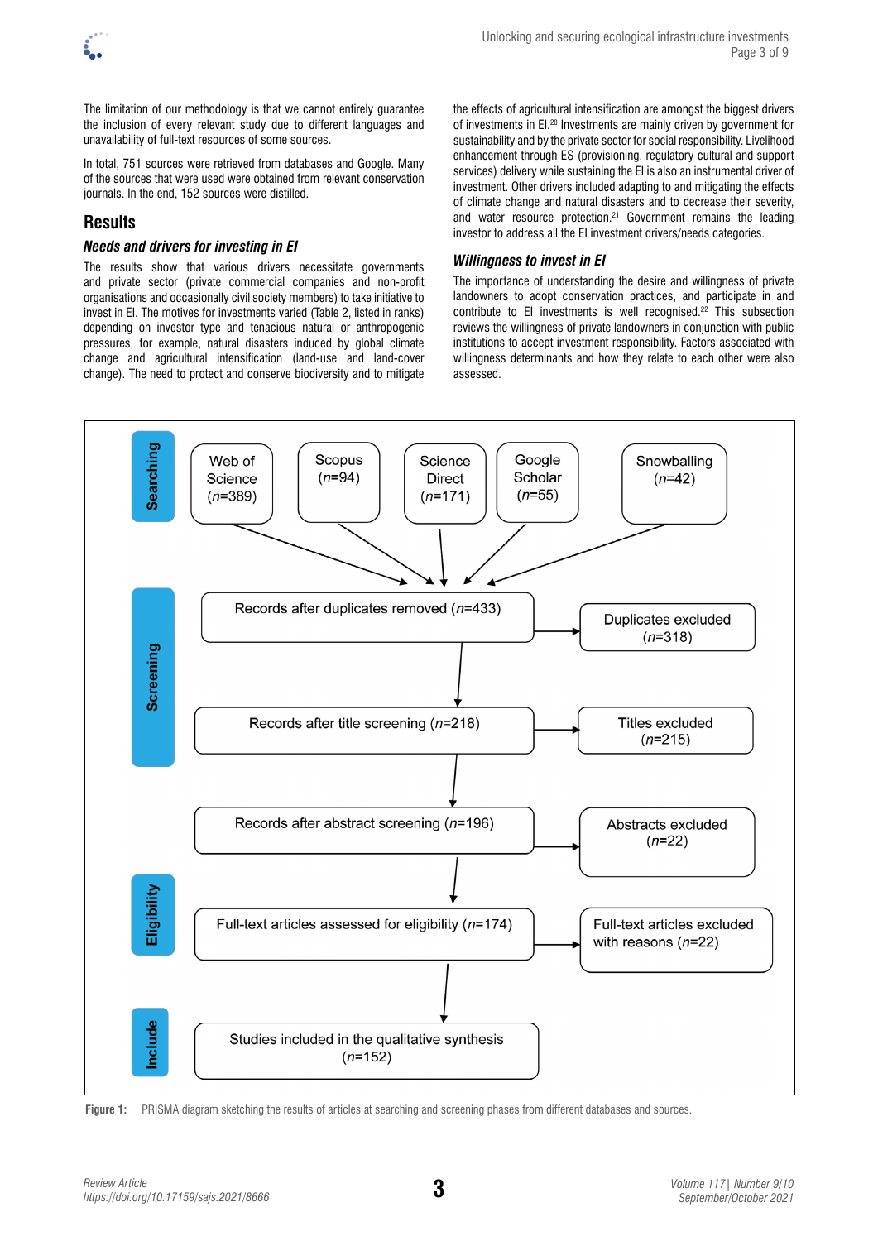

The limitation of our methodology is that we cannot entirely guarantee the inclusion of every relevant study due to different languages and unavailability of full-text resources of some sources.

In total, 751 sources were retrieved from databases and Google. Many of the sources that were used were obtained from relevant conservation journals. In the end, 152 sources were distilled.

# **Results**

# *Needs and drivers for investing in EI*

The results show that various drivers necessitate governments and private sector (private commercial companies and non-profit organisations and occasionally civil society members) to take initiative to invest in EI. The motives for investments varied (Table 2, listed in ranks) depending on investor type and tenacious natural or anthropogenic pressures, for example, natural disasters induced by global climate change and agricultural intensification (land-use and land-cover change). The need to protect and conserve biodiversity and to mitigate

the effects of agricultural intensification are amongst the biggest drivers of investments in EI.20 Investments are mainly driven by government for sustainability and by the private sector for social responsibility. Livelihood enhancement through ES (provisioning, regulatory cultural and support services) delivery while sustaining the EI is also an instrumental driver of investment. Other drivers included adapting to and mitigating the effects of climate change and natural disasters and to decrease their severity, and water resource protection.<sup>21</sup> Government remains the leading investor to address all the EI investment drivers/needs categories.

## *Willingness to invest in EI*

The importance of understanding the desire and willingness of private landowners to adopt conservation practices, and participate in and contribute to EI investments is well recognised.22 This subsection reviews the willingness of private landowners in conjunction with public institutions to accept investment responsibility. Factors associated with willingness determinants and how they relate to each other were also assessed.



**Figure 1:** PRISMA diagram sketching the results of articles at searching and screening phases from different databases and sources.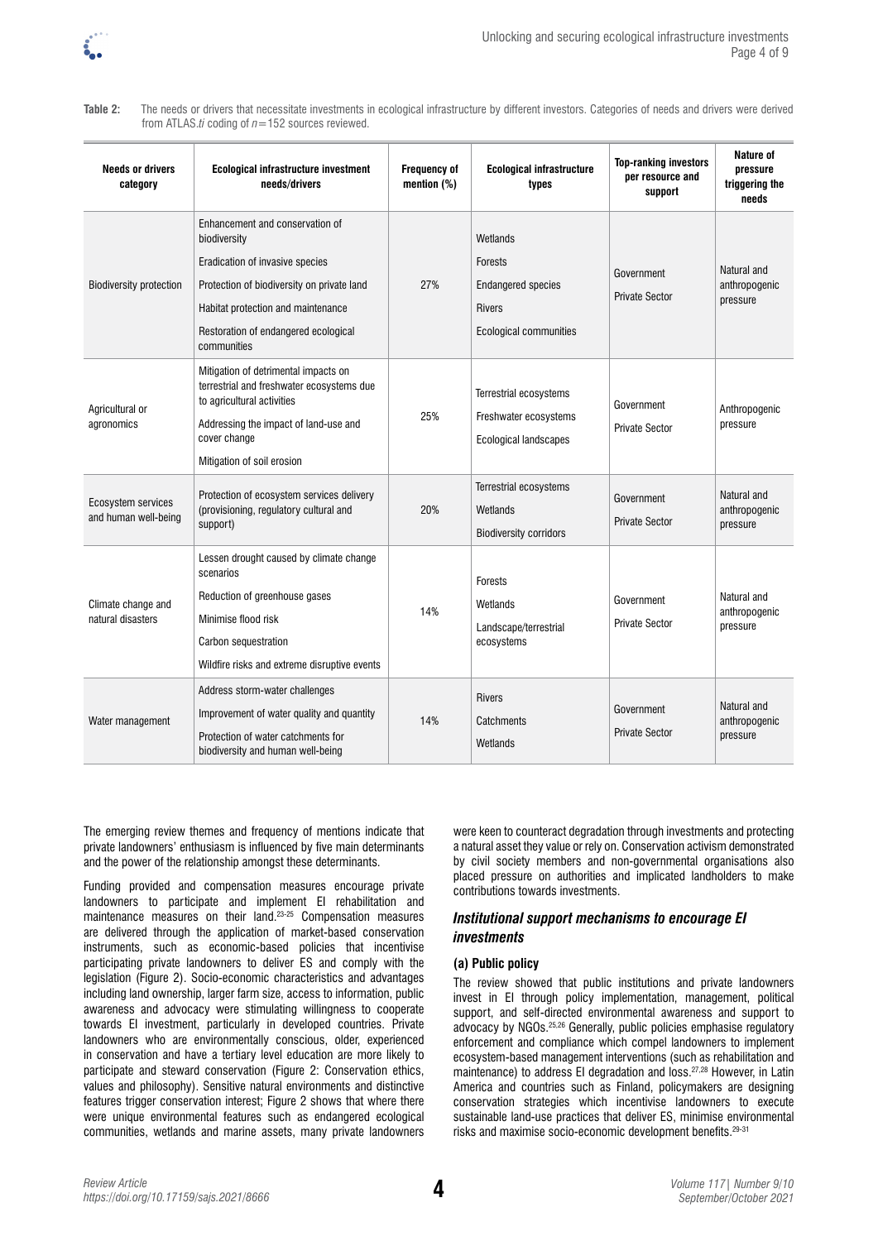

**Needs or drivers category Ecological infrastructure investment needs/drivers Frequency of mention (%) Ecological infrastructure types Top-ranking investors per resource and support Nature of pressure triggering the needs** Biodiversity protection Enhancement and conservation of **biodiversity** Eradication of invasive species Protection of biodiversity on private land Habitat protection and maintenance Restoration of endangered ecological communities 27% **Wetlands** Forests Endangered species Rivers Ecological communities Government Private Sector Natural and anthropogenic pressure Agricultural or agronomics Mitigation of detrimental impacts on terrestrial and freshwater ecosystems due to agricultural activities Addressing the impact of land-use and cover change Mitigation of soil erosion 25% Terrestrial ecosystems Freshwater ecosystems Ecological landscapes Government Private Sector Anthropogenic pressure Ecosystem services and human well-being Protection of ecosystem services delivery (provisioning, regulatory cultural and support) 20% Terrestrial ecosystems Wetlands Biodiversity corridors Government Private Sector Natural and anthropogenic pressure Climate change and natural disasters Lessen drought caused by climate change scenarios Reduction of greenhouse gases Minimise flood risk Carbon sequestration Wildfire risks and extreme disruptive events 14% Forests Wetlands Landscape/terrestrial ecosystems Government Private Sector Natural and anthropogenic pressure Water management Address storm-water challenges Improvement of water quality and quantity Protection of water catchments for 14% Rivers **Catchments** Government Private Sector Natural and anthropogenic pressure

**Table 2:** The needs or drivers that necessitate investments in ecological infrastructure by different investors. Categories of needs and drivers were derived from ATLAS.*ti* coding of *n*=152 sources reviewed.

The emerging review themes and frequency of mentions indicate that private landowners' enthusiasm is influenced by five main determinants and the power of the relationship amongst these determinants.

biodiversity and human well-being

Funding provided and compensation measures encourage private landowners to participate and implement EI rehabilitation and maintenance measures on their land.<sup>23-25</sup> Compensation measures are delivered through the application of market-based conservation instruments, such as economic-based policies that incentivise participating private landowners to deliver ES and comply with the legislation (Figure 2). Socio-economic characteristics and advantages including land ownership, larger farm size, access to information, public awareness and advocacy were stimulating willingness to cooperate towards EI investment, particularly in developed countries. Private landowners who are environmentally conscious, older, experienced in conservation and have a tertiary level education are more likely to participate and steward conservation (Figure 2: Conservation ethics, values and philosophy). Sensitive natural environments and distinctive features trigger conservation interest; Figure 2 shows that where there were unique environmental features such as endangered ecological communities, wetlands and marine assets, many private landowners

were keen to counteract degradation through investments and protecting a natural asset they value or rely on. Conservation activism demonstrated by civil society members and non-governmental organisations also placed pressure on authorities and implicated landholders to make contributions towards investments.

## *Institutional support mechanisms to encourage EI investments*

#### **(a) Public policy**

**Wetlands** 

The review showed that public institutions and private landowners invest in EI through policy implementation, management, political support, and self-directed environmental awareness and support to advocacy by NGOs.25,26 Generally, public policies emphasise regulatory enforcement and compliance which compel landowners to implement ecosystem-based management interventions (such as rehabilitation and maintenance) to address EI degradation and loss.27,28 However, in Latin America and countries such as Finland, policymakers are designing conservation strategies which incentivise landowners to execute sustainable land-use practices that deliver ES, minimise environmental risks and maximise socio-economic development benefits.29-31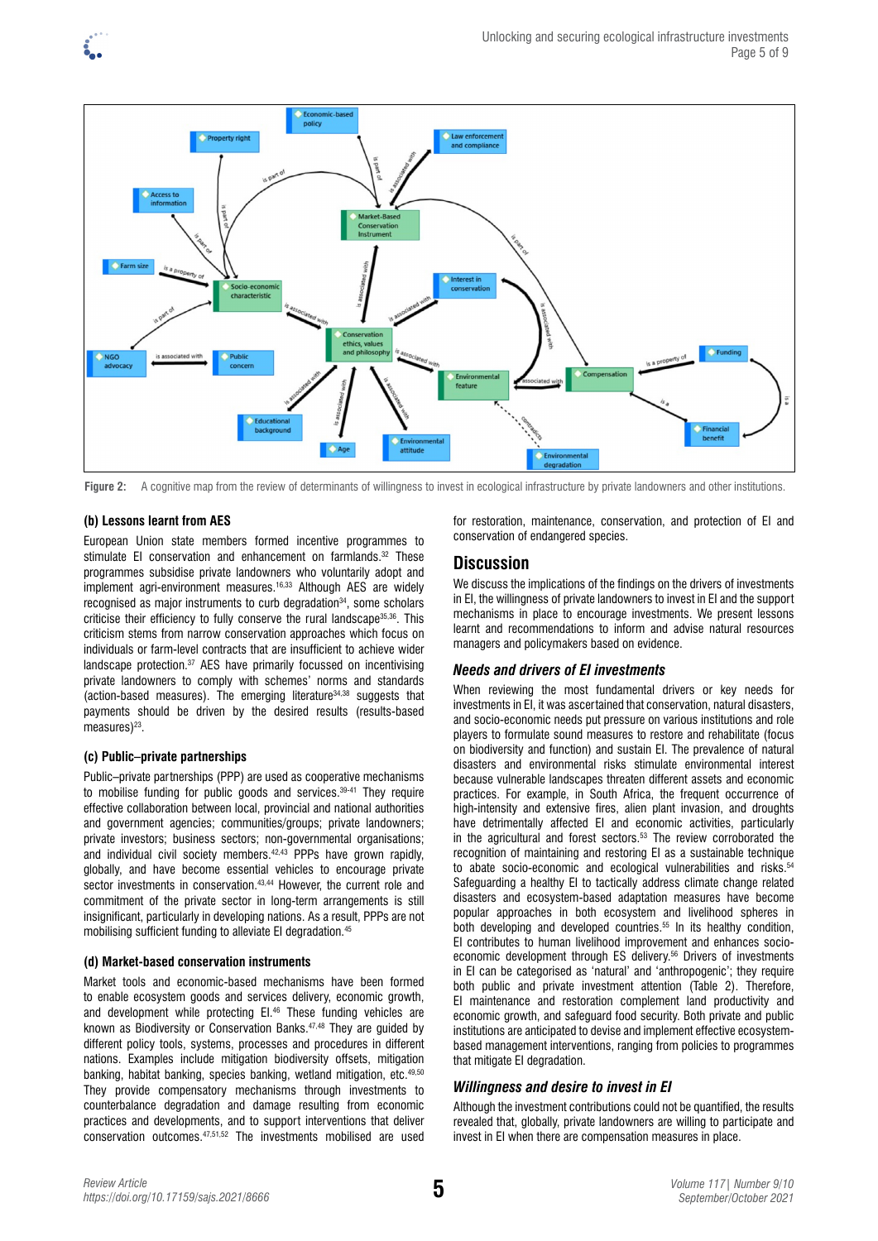

Figure 2: A cognitive map from the review of determinants of willingness to invest in ecological infrastructure by private landowners and other institutions.

## **(b) Lessons learnt from AES**

European Union state members formed incentive programmes to stimulate EI conservation and enhancement on farmlands.<sup>32</sup> These programmes subsidise private landowners who voluntarily adopt and implement agri-environment measures.<sup>16,33</sup> Although AES are widely recognised as major instruments to curb degradation<sup>34</sup>, some scholars criticise their efficiency to fully conserve the rural landscape<sup>35,36</sup>. This criticism stems from narrow conservation approaches which focus on individuals or farm-level contracts that are insufficient to achieve wider landscape protection.37 AES have primarily focussed on incentivising private landowners to comply with schemes' norms and standards (action-based measures). The emerging literature34,38 suggests that payments should be driven by the desired results (results-based measures $)^{23}$ .

## **(c) Public–private partnerships**

Public–private partnerships (PPP) are used as cooperative mechanisms to mobilise funding for public goods and services.<sup>39-41</sup> They require effective collaboration between local, provincial and national authorities and government agencies; communities/groups; private landowners; private investors; business sectors; non-governmental organisations; and individual civil society members.<sup>42,43</sup> PPPs have grown rapidly, globally, and have become essential vehicles to encourage private sector investments in conservation.<sup>43,44</sup> However, the current role and commitment of the private sector in long-term arrangements is still insignificant, particularly in developing nations. As a result, PPPs are not mobilising sufficient funding to alleviate EI degradation.<sup>45</sup>

## **(d) Market-based conservation instruments**

Market tools and economic-based mechanisms have been formed to enable ecosystem goods and services delivery, economic growth, and development while protecting EI.<sup>46</sup> These funding vehicles are known as Biodiversity or Conservation Banks.47,48 They are guided by different policy tools, systems, processes and procedures in different nations. Examples include mitigation biodiversity offsets, mitigation banking, habitat banking, species banking, wetland mitigation, etc.49,50 They provide compensatory mechanisms through investments to counterbalance degradation and damage resulting from economic practices and developments, and to support interventions that deliver conservation outcomes.47,51,52 The investments mobilised are used

for restoration, maintenance, conservation, and protection of EI and conservation of endangered species.

# **Discussion**

We discuss the implications of the findings on the drivers of investments in EI, the willingness of private landowners to invest in EI and the support mechanisms in place to encourage investments. We present lessons learnt and recommendations to inform and advise natural resources managers and policymakers based on evidence.

## *Needs and drivers of EI investments*

When reviewing the most fundamental drivers or key needs for investments in EI, it was ascertained that conservation, natural disasters, and socio-economic needs put pressure on various institutions and role players to formulate sound measures to restore and rehabilitate (focus on biodiversity and function) and sustain EI. The prevalence of natural disasters and environmental risks stimulate environmental interest because vulnerable landscapes threaten different assets and economic practices. For example, in South Africa, the frequent occurrence of high-intensity and extensive fires, alien plant invasion, and droughts have detrimentally affected EI and economic activities, particularly in the agricultural and forest sectors.53 The review corroborated the recognition of maintaining and restoring EI as a sustainable technique to abate socio-economic and ecological vulnerabilities and risks.54 Safeguarding a healthy EI to tactically address climate change related disasters and ecosystem-based adaptation measures have become popular approaches in both ecosystem and livelihood spheres in both developing and developed countries.<sup>55</sup> In its healthy condition, EI contributes to human livelihood improvement and enhances socioeconomic development through ES delivery.<sup>56</sup> Drivers of investments in EI can be categorised as 'natural' and 'anthropogenic'; they require both public and private investment attention (Table 2). Therefore, EI maintenance and restoration complement land productivity and economic growth, and safeguard food security. Both private and public institutions are anticipated to devise and implement effective ecosystembased management interventions, ranging from policies to programmes that mitigate EI degradation.

## *Willingness and desire to invest in EI*

Although the investment contributions could not be quantified, the results revealed that, globally, private landowners are willing to participate and invest in EI when there are compensation measures in place.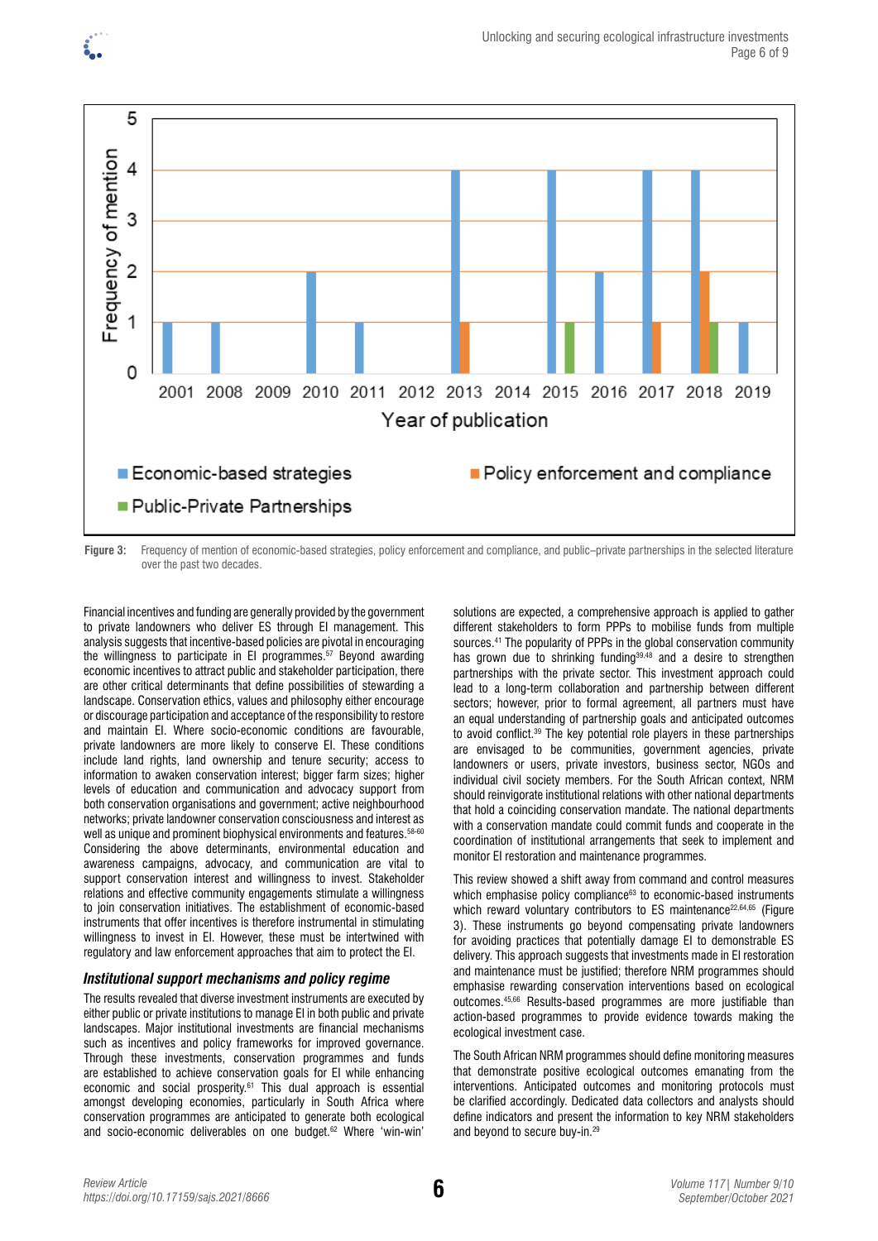

**Figure 3:** Frequency of mention of economic-based strategies, policy enforcement and compliance, and public–private partnerships in the selected literature over the past two decades.

Financial incentives and funding are generally provided by the government to private landowners who deliver ES through EI management. This analysis suggests that incentive-based policies are pivotal in encouraging the willingness to participate in EI programmes.57 Beyond awarding economic incentives to attract public and stakeholder participation, there are other critical determinants that define possibilities of stewarding a landscape. Conservation ethics, values and philosophy either encourage or discourage participation and acceptance of the responsibility to restore and maintain EI. Where socio-economic conditions are favourable, private landowners are more likely to conserve EI. These conditions include land rights, land ownership and tenure security; access to information to awaken conservation interest; bigger farm sizes; higher levels of education and communication and advocacy support from both conservation organisations and government; active neighbourhood networks; private landowner conservation consciousness and interest as well as unique and prominent biophysical environments and features. 58-60 Considering the above determinants, environmental education and awareness campaigns, advocacy, and communication are vital to support conservation interest and willingness to invest. Stakeholder relations and effective community engagements stimulate a willingness to join conservation initiatives. The establishment of economic-based instruments that offer incentives is therefore instrumental in stimulating willingness to invest in EI. However, these must be intertwined with regulatory and law enforcement approaches that aim to protect the EI.

#### *Institutional support mechanisms and policy regime*

The results revealed that diverse investment instruments are executed by either public or private institutions to manage EI in both public and private landscapes. Major institutional investments are financial mechanisms such as incentives and policy frameworks for improved governance. Through these investments, conservation programmes and funds are established to achieve conservation goals for EI while enhancing economic and social prosperity.61 This dual approach is essential amongst developing economies, particularly in South Africa where conservation programmes are anticipated to generate both ecological and socio-economic deliverables on one budget.62 Where 'win-win'

solutions are expected, a comprehensive approach is applied to gather different stakeholders to form PPPs to mobilise funds from multiple sources.<sup>41</sup> The popularity of PPPs in the global conservation community has grown due to shrinking funding<sup>39,48</sup> and a desire to strengthen partnerships with the private sector. This investment approach could lead to a long-term collaboration and partnership between different sectors; however, prior to formal agreement, all partners must have an equal understanding of partnership goals and anticipated outcomes to avoid conflict.<sup>39</sup> The key potential role players in these partnerships are envisaged to be communities, government agencies, private landowners or users, private investors, business sector, NGOs and individual civil society members. For the South African context, NRM should reinvigorate institutional relations with other national departments that hold a coinciding conservation mandate. The national departments with a conservation mandate could commit funds and cooperate in the coordination of institutional arrangements that seek to implement and monitor EI restoration and maintenance programmes.

This review showed a shift away from command and control measures which emphasise policy compliance<sup>63</sup> to economic-based instruments which reward voluntary contributors to ES maintenance<sup>22,64,65</sup> (Figure 3). These instruments go beyond compensating private landowners for avoiding practices that potentially damage EI to demonstrable ES delivery. This approach suggests that investments made in EI restoration and maintenance must be justified; therefore NRM programmes should emphasise rewarding conservation interventions based on ecological outcomes.45,66 Results-based programmes are more justifiable than action-based programmes to provide evidence towards making the ecological investment case.

The South African NRM programmes should define monitoring measures that demonstrate positive ecological outcomes emanating from the interventions. Anticipated outcomes and monitoring protocols must be clarified accordingly. Dedicated data collectors and analysts should define indicators and present the information to key NRM stakeholders and beyond to secure buy-in.29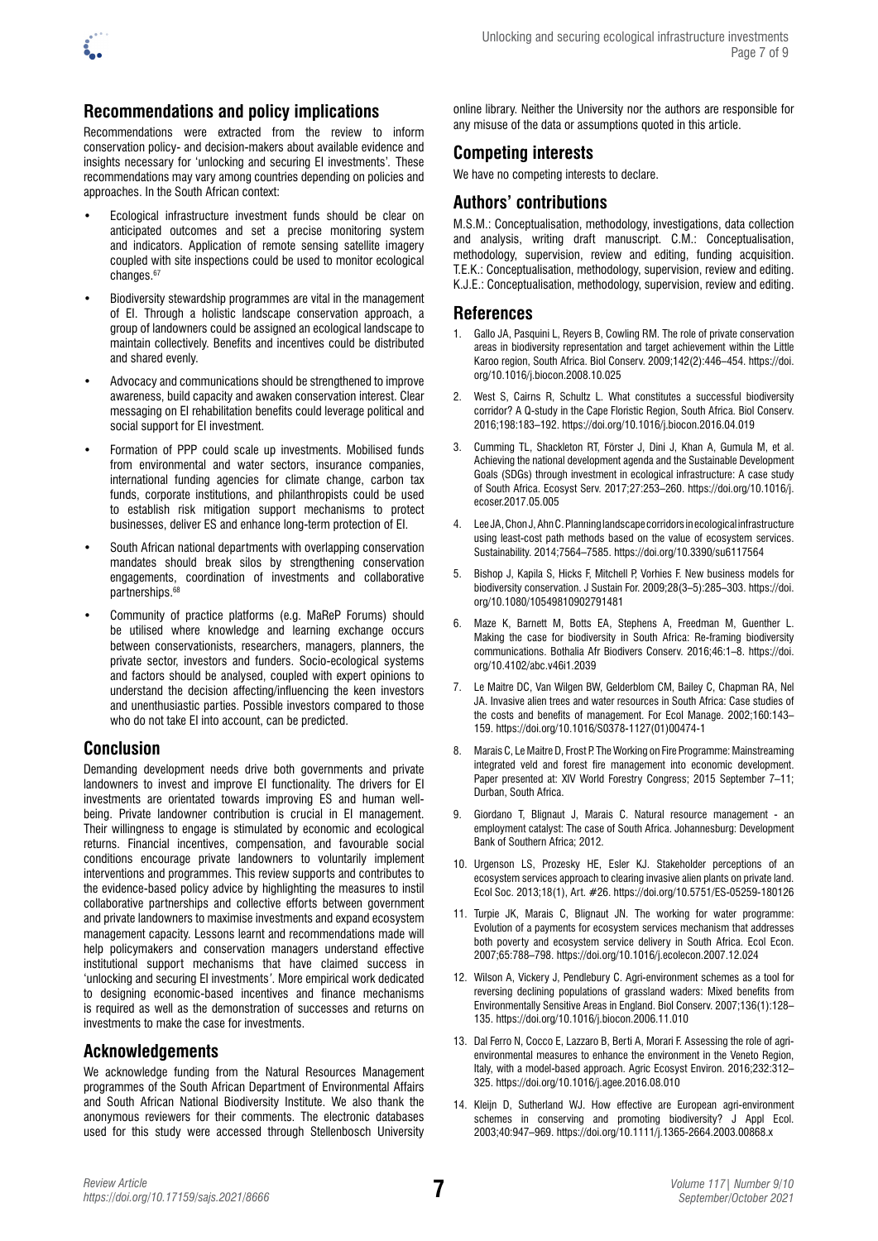

# **Recommendations and policy implications**

Recommendations were extracted from the review to inform conservation policy- and decision-makers about available evidence and insights necessary for 'unlocking and securing EI investments'*.* These recommendations may vary among countries depending on policies and approaches. In the South African context:

- Ecological infrastructure investment funds should be clear on anticipated outcomes and set a precise monitoring system and indicators. Application of remote sensing satellite imagery coupled with site inspections could be used to monitor ecological changes.<sup>67</sup>
- Biodiversity stewardship programmes are vital in the management of EI. Through a holistic landscape conservation approach, a group of landowners could be assigned an ecological landscape to maintain collectively. Benefits and incentives could be distributed and shared evenly.
- Advocacy and communications should be strengthened to improve awareness, build capacity and awaken conservation interest. Clear messaging on EI rehabilitation benefits could leverage political and social support for EI investment.
- Formation of PPP could scale up investments. Mobilised funds from environmental and water sectors, insurance companies, international funding agencies for climate change, carbon tax funds, corporate institutions, and philanthropists could be used to establish risk mitigation support mechanisms to protect businesses, deliver ES and enhance long-term protection of EI.
- South African national departments with overlapping conservation mandates should break silos by strengthening conservation engagements, coordination of investments and collaborative partnerships.68
- Community of practice platforms (e.g. MaReP Forums) should be utilised where knowledge and learning exchange occurs between conservationists, researchers, managers, planners, the private sector, investors and funders. Socio-ecological systems and factors should be analysed, coupled with expert opinions to understand the decision affecting/influencing the keen investors and unenthusiastic parties. Possible investors compared to those who do not take EI into account, can be predicted.

# **Conclusion**

Demanding development needs drive both governments and private landowners to invest and improve EI functionality. The drivers for EI investments are orientated towards improving ES and human wellbeing. Private landowner contribution is crucial in EI management. Their willingness to engage is stimulated by economic and ecological returns. Financial incentives, compensation, and favourable social conditions encourage private landowners to voluntarily implement interventions and programmes. This review supports and contributes to the evidence-based policy advice by highlighting the measures to instil collaborative partnerships and collective efforts between government and private landowners to maximise investments and expand ecosystem management capacity. Lessons learnt and recommendations made will help policymakers and conservation managers understand effective institutional support mechanisms that have claimed success in 'unlocking and securing EI investments*'*. More empirical work dedicated to designing economic-based incentives and finance mechanisms is required as well as the demonstration of successes and returns on investments to make the case for investments.

# **Acknowledgements**

We acknowledge funding from the Natural Resources Management programmes of the South African Department of Environmental Affairs and South African National Biodiversity Institute. We also thank the anonymous reviewers for their comments. The electronic databases used for this study were accessed through Stellenbosch University online library. Neither the University nor the authors are responsible for any misuse of the data or assumptions quoted in this article.

## **Competing interests**

We have no competing interests to declare.

## **Authors' contributions**

M.S.M.: Conceptualisation, methodology, investigations, data collection and analysis, writing draft manuscript. C.M.: Conceptualisation, methodology, supervision, review and editing, funding acquisition. T.E.K.: Conceptualisation, methodology, supervision, review and editing. K.J.E.: Conceptualisation, methodology, supervision, review and editing.

## **References**

- 1. Gallo JA, Pasquini L, Reyers B, Cowling RM. The role of private conservation areas in biodiversity representation and target achievement within the Little Karoo region, South Africa. Biol Conserv. 2009;142(2):446–454. [https://doi.](https://doi.org/10.1016/j.biocon.2008.10.025) [org/10.1016/j.biocon.2008.10.025](https://doi.org/10.1016/j.biocon.2008.10.025)
- 2. West S, Cairns R, Schultz L. What constitutes a successful biodiversity corridor? A Q-study in the Cape Floristic Region, South Africa. Biol Conserv. 2016;198:183–192.<https://doi.org/10.1016/j.biocon.2016.04.019>
- 3. Cumming TL, Shackleton RT, Förster J, Dini J, Khan A, Gumula M, et al. Achieving the national development agenda and the Sustainable Development Goals (SDGs) through investment in ecological infrastructure: A case study of South Africa. Ecosyst Serv. 2017;27:253–260. [https://doi.org/10.1016/j.](https://doi.org/10.1016/j.ecoser.2017.05.005) [ecoser.2017.05.005](https://doi.org/10.1016/j.ecoser.2017.05.005)
- 4. Lee JA, Chon J, Ahn C. Planning landscape corridors in ecological infrastructure using least-cost path methods based on the value of ecosystem services. Sustainability. 2014;7564–7585. <https://doi.org/10.3390/su6117564>
- 5. Bishop J, Kapila S, Hicks F, Mitchell P, Vorhies F. New business models for biodiversity conservation. J Sustain For. 2009;28(3–5):285–303. [https://doi.](https://doi.org/10.1080/10549810902791481) [org/10.1080/10549810902791481](https://doi.org/10.1080/10549810902791481)
- 6. Maze K, Barnett M, Botts EA, Stephens A, Freedman M, Guenther L. Making the case for biodiversity in South Africa: Re-framing biodiversity communications. Bothalia Afr Biodivers Conserv. 2016;46:1–8. [https://doi.](https://doi.org/10.4102/abc.v46i1.2039) [org/10.4102/abc.v46i1.2039](https://doi.org/10.4102/abc.v46i1.2039)
- 7. Le Maitre DC, Van Wilgen BW, Gelderblom CM, Bailey C, Chapman RA, Nel JA. Invasive alien trees and water resources in South Africa: Case studies of the costs and benefits of management. For Ecol Manage. 2002;160:143– 159. [https://doi.org/10.1016/S0378-1127\(01\)00474-1](https://doi.org/10.1016/S0378-1127(01)00474-1)
- 8. Marais C, Le Maitre D, Frost P. The Working on Fire Programme: Mainstreaming integrated veld and forest fire management into economic development. Paper presented at: XIV World Forestry Congress; 2015 September 7–11; Durban, South Africa.
- 9. Giordano T, Blignaut J, Marais C. Natural resource management an employment catalyst: The case of South Africa. Johannesburg: Development Bank of Southern Africa; 2012.
- 10. Urgenson LS, Prozesky HE, Esler KJ. Stakeholder perceptions of an ecosystem services approach to clearing invasive alien plants on private land. Ecol Soc. 2013;18(1), Art. #26.<https://doi.org/10.5751/ES-05259-180126>
- 11. Turpie JK, Marais C, Blignaut JN. The working for water programme: Evolution of a payments for ecosystem services mechanism that addresses both poverty and ecosystem service delivery in South Africa. Ecol Econ. 2007;65:788–798. <https://doi.org/10.1016/j.ecolecon.2007.12.024>
- 12. Wilson A, Vickery J, Pendlebury C. Agri-environment schemes as a tool for reversing declining populations of grassland waders: Mixed benefits from Environmentally Sensitive Areas in England. Biol Conserv. 2007;136(1):128– 135. <https://doi.org/10.1016/j.biocon.2006.11.010>
- 13. Dal Ferro N, Cocco E, Lazzaro B, Berti A, Morari F. Assessing the role of agrienvironmental measures to enhance the environment in the Veneto Region, Italy, with a model-based approach. Agric Ecosyst Environ. 2016;232:312– 325. <https://doi.org/10.1016/j.agee.2016.08.010>
- 14. Kleijn D, Sutherland WJ. How effective are European agri-environment schemes in conserving and promoting biodiversity? J Appl Ecol. 2003;40:947–969. <https://doi.org/10.1111/j.1365-2664.2003.00868.x>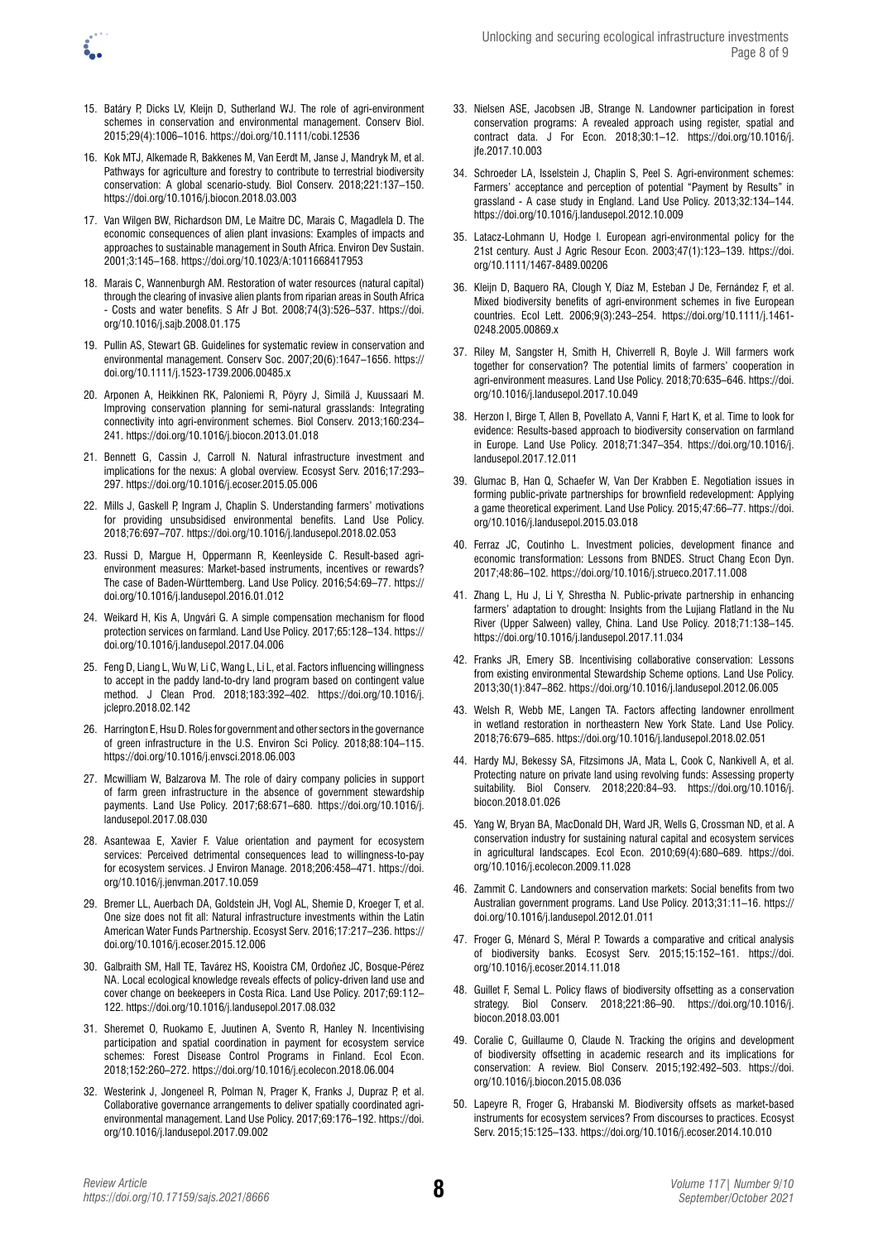

- 15. Batáry P, Dicks LV, Kleijn D, Sutherland WJ. The role of agri-environment schemes in conservation and environmental management. Conserv Biol. 2015;29(4):1006–1016. <https://doi.org/10.1111/cobi.12536>
- 16. Kok MTJ, Alkemade R, Bakkenes M, Van Eerdt M, Janse J, Mandryk M, et al. Pathways for agriculture and forestry to contribute to terrestrial biodiversity conservation: A global scenario-study. Biol Conserv. 2018;221:137–150. <https://doi.org/10.1016/j.biocon.2018.03.003>
- 17. Van Wilgen BW, Richardson DM, Le Maitre DC, Marais C, Magadlela D. The economic consequences of alien plant invasions: Examples of impacts and approaches to sustainable management in South Africa. Environ Dev Sustain. 2001;3:145–168.<https://doi.org/10.1023/A:1011668417953>
- 18. Marais C, Wannenburgh AM. Restoration of water resources (natural capital) through the clearing of invasive alien plants from riparian areas in South Africa - Costs and water benefits. S Afr J Bot. 2008;74(3):526–537. [https://doi.](https://doi.org/10.1016/j.sajb.2008.01.175) [org/10.1016/j.sajb.2008.01.175](https://doi.org/10.1016/j.sajb.2008.01.175)
- 19. Pullin AS, Stewart GB. Guidelines for systematic review in conservation and environmental management. Conserv Soc. 2007;20(6):1647–1656. [https://](https://doi.org/10.1111/j.1523-1739.2006.00485.x) [doi.org/10.1111/j.1523-1739.2006.00485.x](https://doi.org/10.1111/j.1523-1739.2006.00485.x)
- 20. Arponen A, Heikkinen RK, Paloniemi R, Pöyry J, Similä J, Kuussaari M. Improving conservation planning for semi-natural grasslands: Integrating connectivity into agri-environment schemes. Biol Conserv. 2013;160:234– 241. <https://doi.org/10.1016/j.biocon.2013.01.018>
- 21. Bennett G, Cassin J, Carroll N. Natural infrastructure investment and implications for the nexus: A global overview. Ecosyst Serv. 2016;17:293– 297. <https://doi.org/10.1016/j.ecoser.2015.05.006>
- 22. Mills J, Gaskell P, Ingram J, Chaplin S. Understanding farmers' motivations for providing unsubsidised environmental benefits. Land Use Policy. 2018;76:697–707. <https://doi.org/10.1016/j.landusepol.2018.02.053>
- 23. Russi D, Margue H, Oppermann R, Keenleyside C. Result-based agrienvironment measures: Market-based instruments, incentives or rewards? The case of Baden-Württemberg. Land Use Policy. 2016;54:69–77. [https://](https://doi.org/10.1016/j.landusepol.2016.01.012) [doi.org/10.1016/j.landusepol.2016.01.012](https://doi.org/10.1016/j.landusepol.2016.01.012)
- 24. Weikard H, Kis A, Ungvári G. A simple compensation mechanism for flood protection services on farmland. Land Use Policy. 2017;65:128–134. [https://](https://doi.org/10.1016/j.landusepol.2017.04.006) [doi.org/10.1016/j.landusepol.2017.04.006](https://doi.org/10.1016/j.landusepol.2017.04.006)
- 25. Feng D, Liang L, Wu W, Li C, Wang L, Li L, et al. Factors influencing willingness to accept in the paddy land-to-dry land program based on contingent value method. J Clean Prod. 2018;183:392–402. [https://doi.org/10.1016/j.](https://doi.org/10.1016/j.jclepro.2018.02.142) [jclepro.2018.02.142](https://doi.org/10.1016/j.jclepro.2018.02.142)
- 26. Harrington E, Hsu D. Roles for government and other sectors in the governance of green infrastructure in the U.S. Environ Sci Policy. 2018;88:104–115. <https://doi.org/10.1016/j.envsci.2018.06.003>
- 27. Mcwilliam W, Balzarova M. The role of dairy company policies in support of farm green infrastructure in the absence of government stewardship payments. Land Use Policy. 2017;68:671–680. [https://doi.org/10.1016/j.](https://doi.org/10.1016/j.landusepol.2017.08.030) [landusepol.2017.08.030](https://doi.org/10.1016/j.landusepol.2017.08.030)
- 28. Asantewaa E, Xavier F. Value orientation and payment for ecosystem services: Perceived detrimental consequences lead to willingness-to-pay for ecosystem services. J Environ Manage. 2018;206:458–471. [https://doi.](https://doi.org/10.1016/j.jenvman.2017.10.059) [org/10.1016/j.jenvman.2017.10.059](https://doi.org/10.1016/j.jenvman.2017.10.059)
- 29. Bremer LL, Auerbach DA, Goldstein JH, Vogl AL, Shemie D, Kroeger T, et al. One size does not fit all: Natural infrastructure investments within the Latin American Water Funds Partnership. Ecosyst Serv. 2016;17:217–236. [https://](https://doi.org/10.1016/j.ecoser.2015.12.006) [doi.org/10.1016/j.ecoser.2015.12.006](https://doi.org/10.1016/j.ecoser.2015.12.006)
- 30. Galbraith SM, Hall TE, Tavárez HS, Kooistra CM, Ordoñez JC, Bosque-Pérez NA. Local ecological knowledge reveals effects of policy-driven land use and cover change on beekeepers in Costa Rica. Land Use Policy. 2017;69:112– 122. <https://doi.org/10.1016/j.landusepol.2017.08.032>
- 31. Sheremet O, Ruokamo E, Juutinen A, Svento R, Hanley N. Incentivising participation and spatial coordination in payment for ecosystem service schemes: Forest Disease Control Programs in Finland. Ecol Econ. 2018;152:260–272.<https://doi.org/10.1016/j.ecolecon.2018.06.004>
- 32. Westerink J, Jongeneel R, Polman N, Prager K, Franks J, Dupraz P, et al. Collaborative governance arrangements to deliver spatially coordinated agrienvironmental management. Land Use Policy. 2017;69:176–192. [https://doi.](https://doi.org/10.1016/j.landusepol.2017.09.002) [org/10.1016/j.landusepol.2017.09.002](https://doi.org/10.1016/j.landusepol.2017.09.002)
- 33. Nielsen ASE, Jacobsen JB, Strange N. Landowner participation in forest conservation programs: A revealed approach using register, spatial and contract data. J For Econ. 2018;30:1–12. [https://doi.org/10.1016/j.](https://doi.org/10.1016/j.jfe.2017.10.003) [jfe.2017.10.003](https://doi.org/10.1016/j.jfe.2017.10.003)
- 34. Schroeder LA, Isselstein J, Chaplin S, Peel S. Agri-environment schemes: Farmers' acceptance and perception of potential "Payment by Results" in grassland - A case study in England. Land Use Policy. 2013;32:134–144. <https://doi.org/10.1016/j.landusepol.2012.10.009>
- 35. Latacz-Lohmann U, Hodge I. European agri-environmental policy for the 21st century. Aust J Agric Resour Econ. 2003;47(1):123–139. [https://doi.](https://doi.org/10.1111/1467-8489.00206) [org/10.1111/1467-8489.00206](https://doi.org/10.1111/1467-8489.00206)
- 36. Kleijn D, Baquero RA, Clough Y, Díaz M, Esteban J De, Fernández F, et al. Mixed biodiversity benefits of agri-environment schemes in five European countries. Ecol Lett. 2006;9(3):243–254. [https://doi.org/10.1111/j.1461-](https://doi.org/10.1111/j.1461-0248.2005.00869.x) [0248.2005.00869.x](https://doi.org/10.1111/j.1461-0248.2005.00869.x)
- 37. Riley M, Sangster H, Smith H, Chiverrell R, Boyle J. Will farmers work together for conservation? The potential limits of farmers' cooperation in agri-environment measures. Land Use Policy. 2018;70:635–646. [https://doi.](https://doi.org/10.1016/j.landusepol.2017.10.049) [org/10.1016/j.landusepol.2017.10.049](https://doi.org/10.1016/j.landusepol.2017.10.049)
- 38. Herzon I, Birge T, Allen B, Povellato A, Vanni F, Hart K, et al. Time to look for evidence: Results-based approach to biodiversity conservation on farmland in Europe. Land Use Policy. 2018;71:347–354. [https://doi.org/10.1016/j.](https://doi.org/10.1016/j.landusepol.2017.12.011) [landusepol.2017.12.011](https://doi.org/10.1016/j.landusepol.2017.12.011)
- 39. Glumac B, Han Q, Schaefer W, Van Der Krabben E. Negotiation issues in forming public-private partnerships for brownfield redevelopment: Applying a game theoretical experiment. Land Use Policy. 2015;47:66–77. [https://doi.](https://doi.org/10.1016/j.landusepol.2015.03.018) [org/10.1016/j.landusepol.2015.03.018](https://doi.org/10.1016/j.landusepol.2015.03.018)
- 40. Ferraz JC, Coutinho L. Investment policies, development finance and economic transformation: Lessons from BNDES. Struct Chang Econ Dyn. 2017;48:86–102. <https://doi.org/10.1016/j.strueco.2017.11.008>
- 41. Zhang L, Hu J, Li Y, Shrestha N. Public-private partnership in enhancing farmers' adaptation to drought: Insights from the Lujiang Flatland in the Nu River (Upper Salween) valley, China. Land Use Policy. 2018;71:138–145. <https://doi.org/10.1016/j.landusepol.2017.11.034>
- 42. Franks JR, Emery SB. Incentivising collaborative conservation: Lessons from existing environmental Stewardship Scheme options. Land Use Policy. 2013;30(1):847–862.<https://doi.org/10.1016/j.landusepol.2012.06.005>
- 43. Welsh R, Webb ME, Langen TA. Factors affecting landowner enrollment in wetland restoration in northeastern New York State. Land Use Policy. 2018;76:679–685. <https://doi.org/10.1016/j.landusepol.2018.02.051>
- 44. Hardy MJ, Bekessy SA, Fitzsimons JA, Mata L, Cook C, Nankivell A, et al. Protecting nature on private land using revolving funds: Assessing property suitability. Biol Conserv. 2018;220:84–93. [https://doi.org/10.1016/j.](https://doi.org/10.1016/j.biocon.2018.01.026) [biocon.2018.01.026](https://doi.org/10.1016/j.biocon.2018.01.026)
- 45. Yang W, Bryan BA, MacDonald DH, Ward JR, Wells G, Crossman ND, et al. A conservation industry for sustaining natural capital and ecosystem services in agricultural landscapes. Ecol Econ. 2010;69(4):680–689. [https://doi.](https://doi.org/10.1016/j.ecolecon.2009.11.028) [org/10.1016/j.ecolecon.2009.11.028](https://doi.org/10.1016/j.ecolecon.2009.11.028)
- 46. Zammit C. Landowners and conservation markets: Social benefits from two Australian government programs. Land Use Policy. 2013;31:11–16. [https://](https://doi.org/10.1016/j.landusepol.2012.01.011) [doi.org/10.1016/j.landusepol.2012.01.011](https://doi.org/10.1016/j.landusepol.2012.01.011)
- 47. Froger G, Ménard S, Méral P. Towards a comparative and critical analysis of biodiversity banks. Ecosyst Serv. 2015;15:152–161. [https://doi.](https://doi.org/10.1016/j.ecoser.2014.11.018) [org/10.1016/j.ecoser.2014.11.018](https://doi.org/10.1016/j.ecoser.2014.11.018)
- 48. Guillet F, Semal L. Policy flaws of biodiversity offsetting as a conservation strategy. Biol Conserv. 2018;221:86–90. [https://doi.org/10.1016/j.](https://doi.org/10.1016/j.biocon.2018.03.001) [biocon.2018.03.001](https://doi.org/10.1016/j.biocon.2018.03.001)
- 49. Coralie C, Guillaume O, Claude N. Tracking the origins and development of biodiversity offsetting in academic research and its implications for conservation: A review. Biol Conserv. 2015;192:492–503. [https://doi.](https://doi.org/10.1016/j.biocon.2015.08.036) [org/10.1016/j.biocon.2015.08.036](https://doi.org/10.1016/j.biocon.2015.08.036)
- 50. Lapeyre R, Froger G, Hrabanski M. Biodiversity offsets as market-based instruments for ecosystem services? From discourses to practices. Ecosyst Serv. 2015;15:125–133. <https://doi.org/10.1016/j.ecoser.2014.10.010>